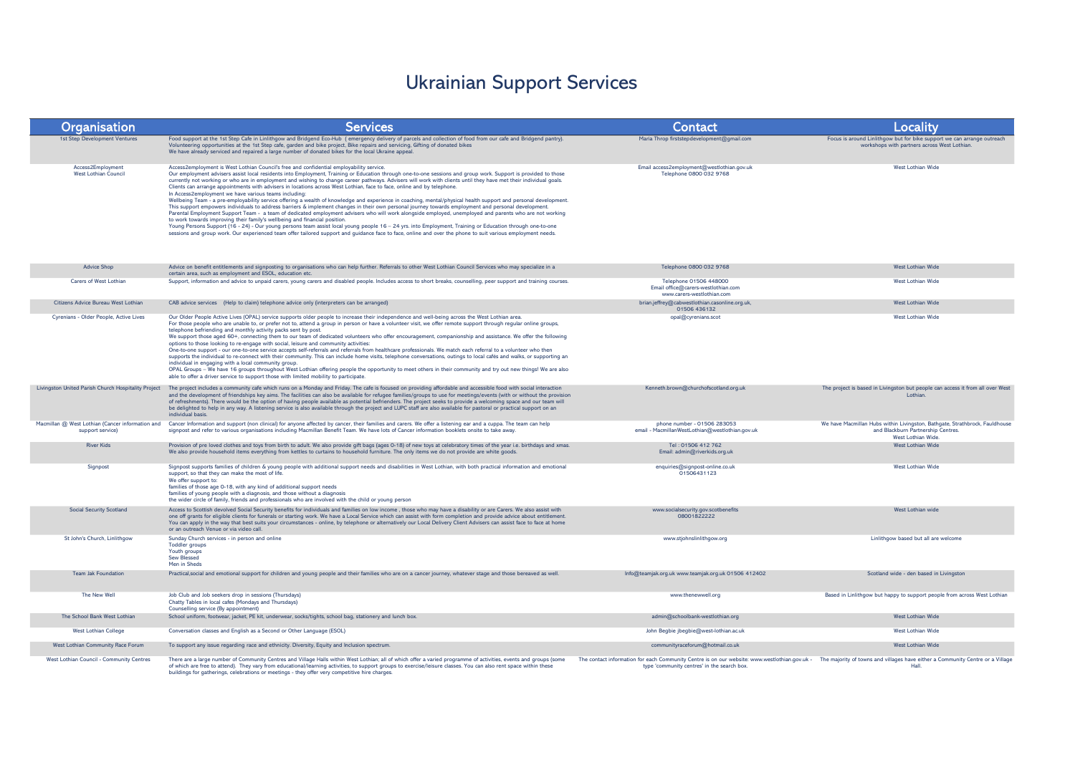## Ukrainian Support Services

| Organisation                                        | <b>Services</b>                                                                                                                                                                                                                                                                                                                                                                                                                                                                                                                                                                                                                                                                                                                                                                                                                                                                                                                                                                                                                                                                                                                                                                                                                                                                                                                                                                                                                                                                                                      | Contact                                                                                                                                                                                                                     | Locality                                                                                                                               |
|-----------------------------------------------------|----------------------------------------------------------------------------------------------------------------------------------------------------------------------------------------------------------------------------------------------------------------------------------------------------------------------------------------------------------------------------------------------------------------------------------------------------------------------------------------------------------------------------------------------------------------------------------------------------------------------------------------------------------------------------------------------------------------------------------------------------------------------------------------------------------------------------------------------------------------------------------------------------------------------------------------------------------------------------------------------------------------------------------------------------------------------------------------------------------------------------------------------------------------------------------------------------------------------------------------------------------------------------------------------------------------------------------------------------------------------------------------------------------------------------------------------------------------------------------------------------------------------|-----------------------------------------------------------------------------------------------------------------------------------------------------------------------------------------------------------------------------|----------------------------------------------------------------------------------------------------------------------------------------|
| <b>1st Step Development Ventures</b>                | Food support at the 1st Step Cafe in Linlithgow and Bridgend Eco-Hub (emergency delivery of parcels and collection of food from our cafe and Bridgend pantry).<br>Volunteering opportunities at the 1st Step cafe, garden and bike project, Bike repairs and servicing, Gifting of donated bikes<br>We have already serviced and repaired a large number of donated bikes for the local Ukraine appeal.                                                                                                                                                                                                                                                                                                                                                                                                                                                                                                                                                                                                                                                                                                                                                                                                                                                                                                                                                                                                                                                                                                              | Maria Throp firststepdevelopment@qmail.com                                                                                                                                                                                  | Focus is around Linlithgow but for bike support we can arrange outreach<br>workshops with partners across West Lothian.                |
| Access2Employment<br>West Lothian Council           | Access2employment is West Lothian Council's free and confidential employability service.<br>Our employment advisers assist local residents into Employment, Training or Education through one-to-one sessions and group work. Support is provided to those<br>currently not working or who are in employment and wishing to change career pathways. Advisers will work with clients until they have met their individual goals.<br>Clients can arrange appointments with advisers in locations across West Lothian, face to face, online and by telephone.<br>In Access2employment we have various teams including:<br>Wellbeing Team - a pre-employability service offering a wealth of knowledge and experience in coaching, mental/physical health support and personal development.<br>This support empowers individuals to address barriers & implement changes in their own personal journey towards employment and personal development.<br>Parental Employment Support Team - a team of dedicated employment advisers who will work alongside employed, unemployed and parents who are not working<br>to work towards improving their family's wellbeing and financial position.<br>Young Persons Support (16 - 24) - Our young persons team assist local young people 16 - 24 yrs. into Employment, Training or Education through one-to-one<br>sessions and group work. Our experienced team offer tailored support and guidance face to face, online and over the phone to suit various employment needs. | Email access2employment@westlothian.gov.uk<br>Telephone 0800 032 9768                                                                                                                                                       | <b>West Lothian Wide</b>                                                                                                               |
| <b>Advice Shop</b>                                  | Advice on benefit entitlements and signposting to organisations who can help further. Referrals to other West Lothian Council Services who may specialize in a<br>certain area, such as employment and ESOL, education etc.                                                                                                                                                                                                                                                                                                                                                                                                                                                                                                                                                                                                                                                                                                                                                                                                                                                                                                                                                                                                                                                                                                                                                                                                                                                                                          | Telephone 0800 032 9768                                                                                                                                                                                                     | West Lothian Wide                                                                                                                      |
| <b>Carers of West Lothian</b>                       | Support, information and advice to unpaid carers, young carers and disabled people. Includes access to short breaks, counselling, peer support and training courses.                                                                                                                                                                                                                                                                                                                                                                                                                                                                                                                                                                                                                                                                                                                                                                                                                                                                                                                                                                                                                                                                                                                                                                                                                                                                                                                                                 | Telephone 01506 448000<br>Email office@carers-westlothian.com<br>www.carers-westlothian.com                                                                                                                                 | West Lothian Wide                                                                                                                      |
| Citizens Advice Bureau West Lothian                 | CAB advice services (Help to claim) telephone advice only (interpreters can be arranged)                                                                                                                                                                                                                                                                                                                                                                                                                                                                                                                                                                                                                                                                                                                                                                                                                                                                                                                                                                                                                                                                                                                                                                                                                                                                                                                                                                                                                             | brian.jeffrey@cabwestlothian.casonline.org.uk,<br>01506 436132                                                                                                                                                              | <b>West Lothian Wide</b>                                                                                                               |
| Cyrenians - Older People, Active Lives              | Our Older People Active Lives (OPAL) service supports older people to increase their independence and well-being across the West Lothian area.<br>For those people who are unable to, or prefer not to, attend a group in person or have a volunteer visit, we offer remote support through regular online groups,<br>telephone befriending and monthly activity packs sent by post.<br>We support those aged 60+, connecting them to our team of dedicated volunteers who offer encouragement, companionship and assistance. We offer the following<br>options to those looking to re-engage with social, leisure and community activities:<br>One-to-one support - our one-to-one service accepts self-referrals and referrals from healthcare professionals. We match each referral to a volunteer who then<br>supports the individual to re-connect with their community. This can include home visits, telephone conversations, outings to local cafés and walks, or supporting an<br>individual in engaging with a local community group.<br>OPAL Groups - We have 16 groups throughout West Lothian offering people the opportunity to meet others in their community and try out new things! We are also<br>able to offer a driver service to support those with limited mobility to participate.                                                                                                                                                                                                            | opal@cyrenians.scot                                                                                                                                                                                                         | West Lothian Wide                                                                                                                      |
| Livingston United Parish Church Hospitality Project | The project includes a community cafe which runs on a Monday and Friday. The cafe is focused on providing affordable and accessible food with social interaction<br>and the development of friendships key aims. The facilities can also be available for refugee families/groups to use for meetings/events (with or without the provision<br>of refreshments). There would be the option of having people available as potential befrienders. The project seeks to provide a welcoming space and our team will<br>be delighted to help in any way. A listening service is also available through the project and LUPC staff are also available for pastoral or practical support on an<br>individual basis.                                                                                                                                                                                                                                                                                                                                                                                                                                                                                                                                                                                                                                                                                                                                                                                                        | Kenneth.brown@churchofscotland.org.uk                                                                                                                                                                                       | The project is based in Livingston but people can access it from all over West<br>Lothian                                              |
| support service)                                    | Macmillan @ West Lothian (Cancer information and Cancer Information and support (non clinical) for anyone affected by cancer, their families and carers. We offer a listening ear and a cuppa. The team can help<br>signpost and refer to various organisations including Macmillan Benefit Team. We have lots of Cancer information booklets onsite to take away.                                                                                                                                                                                                                                                                                                                                                                                                                                                                                                                                                                                                                                                                                                                                                                                                                                                                                                                                                                                                                                                                                                                                                   | phone number - 01506 283053<br>email - MacmillanWestLothian@westlothian.gov.uk                                                                                                                                              | We have Macmillan Hubs within Livingston, Bathgate, Strathbrock, Fauldhouse<br>and Blackburn Partnership Centres.<br>West Lothian Wide |
| <b>River Kids</b>                                   | Provision of pre loved clothes and toys from birth to adult. We also provide gift bags (ages 0-18) of new toys at celebratory times of the year i.e. birthdays and xmas.<br>We also provide household items everything from kettles to curtains to household furniture. The only items we do not provide are white goods.                                                                                                                                                                                                                                                                                                                                                                                                                                                                                                                                                                                                                                                                                                                                                                                                                                                                                                                                                                                                                                                                                                                                                                                            | Tel: 01506 412 762<br>Email: admin@riverkids.org.uk                                                                                                                                                                         | West Lothian Wide                                                                                                                      |
| Signpost                                            | Signpost supports families of children & young people with additional support needs and disabilities in West Lothian, with both practical information and emotional<br>support, so that they can make the most of life.<br>We offer support to:<br>families of those age 0-18, with any kind of additional support needs<br>families of young people with a diagnosis, and those without a diagnosis<br>the wider circle of family, friends and professionals who are involved with the child or young person                                                                                                                                                                                                                                                                                                                                                                                                                                                                                                                                                                                                                                                                                                                                                                                                                                                                                                                                                                                                        | enquiries@signpost-online.co.uk<br>01506431123                                                                                                                                                                              | <b>West Lothian Wide</b>                                                                                                               |
| <b>Social Security Scotland</b>                     | Access to Scottish devolved Social Security benefits for individuals and families on low income, those who may have a disability or are Carers. We also assist with<br>one off grants for eligible clients for funerals or starting work. We have a Local Service which can assist with form completion and provide advice about entitlement.<br>You can apply in the way that best suits your circumstances - online, by telephone or alternatively our Local Delivery Client Advisers can assist face to face at home<br>or an outreach Venue or via video call.                                                                                                                                                                                                                                                                                                                                                                                                                                                                                                                                                                                                                                                                                                                                                                                                                                                                                                                                                   | www.socialsecurity.gov.scotbenefits<br>08001822222                                                                                                                                                                          | West Lothian wide                                                                                                                      |
| St John's Church, Linlithgow                        | Sunday Church services - in person and online<br><b>Toddler</b> groups<br>Youth groups<br>Sew Blessed<br>Men in Sheds                                                                                                                                                                                                                                                                                                                                                                                                                                                                                                                                                                                                                                                                                                                                                                                                                                                                                                                                                                                                                                                                                                                                                                                                                                                                                                                                                                                                | www.stjohnslinlithgow.org                                                                                                                                                                                                   | Linlithgow based but all are welcome                                                                                                   |
| <b>Team lak Foundation</b>                          | Practical, social and emotional support for children and young people and their families who are on a cancer journey, whatever stage and those bereaved as well.                                                                                                                                                                                                                                                                                                                                                                                                                                                                                                                                                                                                                                                                                                                                                                                                                                                                                                                                                                                                                                                                                                                                                                                                                                                                                                                                                     | Info@teamjak.org.uk www.teamjak.org.uk 01506 412402                                                                                                                                                                         | Scotland wide - den based in Livingston                                                                                                |
| The New Well                                        | Job Club and Job seekers drop in sessions (Thursdays)<br>Chatty Tables in local cafes (Mondays and Thursdays)<br>Counselling service (By appointment)                                                                                                                                                                                                                                                                                                                                                                                                                                                                                                                                                                                                                                                                                                                                                                                                                                                                                                                                                                                                                                                                                                                                                                                                                                                                                                                                                                | www.thenewwell.org                                                                                                                                                                                                          | Based in Linlithgow but happy to support people from across West Lothian                                                               |
| The School Bank West Lothian                        | School uniform, footwear, jacket, PE kit, underwear, socks/tights, school bag, stationery and lunch box.                                                                                                                                                                                                                                                                                                                                                                                                                                                                                                                                                                                                                                                                                                                                                                                                                                                                                                                                                                                                                                                                                                                                                                                                                                                                                                                                                                                                             | admin@schoolbank-westlothian.org                                                                                                                                                                                            | West Lothian Wide                                                                                                                      |
| <b>West Lothian College</b>                         | Conversation classes and English as a Second or Other Language (ESOL)                                                                                                                                                                                                                                                                                                                                                                                                                                                                                                                                                                                                                                                                                                                                                                                                                                                                                                                                                                                                                                                                                                                                                                                                                                                                                                                                                                                                                                                | John Begbie jbegbie@west-lothian.ac.uk                                                                                                                                                                                      | West Lothian Wide                                                                                                                      |
| West Lothian Community Race Forum                   | To support any issue regarding race and ethnicity. Diversity, Equity and Inclusion spectrum.                                                                                                                                                                                                                                                                                                                                                                                                                                                                                                                                                                                                                                                                                                                                                                                                                                                                                                                                                                                                                                                                                                                                                                                                                                                                                                                                                                                                                         | communityraceforum@hotmail.co.uk                                                                                                                                                                                            | West Lothian Wide                                                                                                                      |
| <b>West Lothian Council - Community Centres</b>     | There are a large number of Community Centres and Village Halls within West Lothian; all of which offer a varied programme of activities, events and groups (some<br>of which are free to attend). They vary from educational/learning activities, to support groups to exercise/leisure classes. You can also rent space within these<br>buildings for gatherings, celebrations or meetings - they offer very competitive hire charges.                                                                                                                                                                                                                                                                                                                                                                                                                                                                                                                                                                                                                                                                                                                                                                                                                                                                                                                                                                                                                                                                             | The contact information for each Community Centre is on our website: www.westlothian.gov.uk - The majority of towns and villages have either a Community Centre or a Village<br>type 'community centres' in the search box. | Hall.                                                                                                                                  |